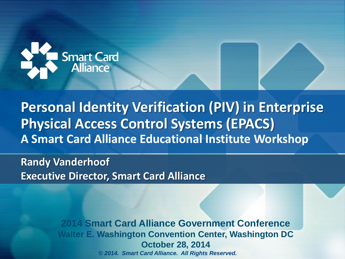

**Personal Identity Verification (PIV) in Enterprise Physical Access Control Systems (EPACS) A Smart Card Alliance Educational Institute Workshop**

**Randy Vanderhoof Executive Director, Smart Card Alliance**

> *© 2014. Smart Card Alliance. All Rights Reserved.* **2014 Smart Card Alliance Government Conference Walter E. Washington Convention Center, Washington DC October 28, 2014**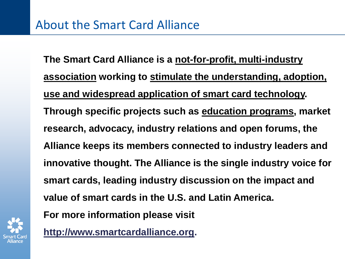**http://www.smartcardalliance.org.**

**The Smart Card Alliance is a not-for-profit, multi-industry association working to stimulate the understanding, adoption, use and widespread application of smart card technology. Through specific projects such as education programs, market research, advocacy, industry relations and open forums, the Alliance keeps its members connected to industry leaders and innovative thought. The Alliance is the single industry voice for smart cards, leading industry discussion on the impact and value of smart cards in the U.S. and Latin America. For more information please visit** 

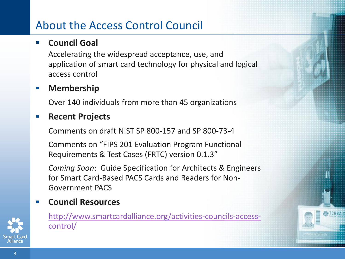# About the Access Control Council

### **Council Goal**

Accelerating the widespread acceptance, use, and application of smart card technology for physical and logical access control

## **Membership**

Over 140 individuals from more than 45 organizations

### **Recent Projects**

Comments on draft NIST SP 800-157 and SP 800-73-4

Comments on "FIPS 201 Evaluation Program Functional Requirements & Test Cases (FRTC) version 0.1.3"

*Coming Soon*: Guide Specification for Architects & Engineers for Smart Card-Based PACS Cards and Readers for Non-Government PACS

## **Council Resources**



[http://www.smartcardalliance.org/activities-councils-access](http://www.smartcardalliance.org/activities-councils-access-control/)[control/](http://www.smartcardalliance.org/activities-councils-access-control/)

TCH<sub>BZ</sub>n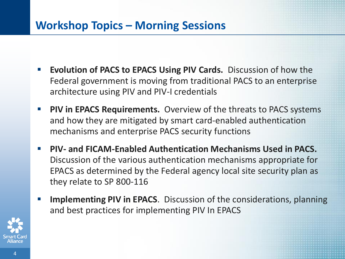# **Workshop Topics – Morning Sessions**

- **Evolution of PACS to EPACS Using PIV Cards.** Discussion of how the Federal government is moving from traditional PACS to an enterprise architecture using PIV and PIV-I credentials
- **PIV in EPACS Requirements.** Overview of the threats to PACS systems and how they are mitigated by smart card-enabled authentication mechanisms and enterprise PACS security functions
- **PIV- and FICAM-Enabled Authentication Mechanisms Used in PACS.**  Discussion of the various authentication mechanisms appropriate for EPACS as determined by the Federal agency local site security plan as they relate to SP 800-116
- **Implementing PIV in EPACS**. Discussion of the considerations, planning and best practices for implementing PIV In EPACS

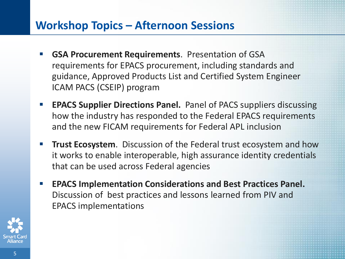# **Workshop Topics – Afternoon Sessions**

- **GSA Procurement Requirements**. Presentation of GSA requirements for EPACS procurement, including standards and guidance, Approved Products List and Certified System Engineer ICAM PACS (CSEIP) program
- **EPACS Supplier Directions Panel.** Panel of PACS suppliers discussing how the industry has responded to the Federal EPACS requirements and the new FICAM requirements for Federal APL inclusion
- **Trust Ecosystem.** Discussion of the Federal trust ecosystem and how it works to enable interoperable, high assurance identity credentials that can be used across Federal agencies
- **EPACS Implementation Considerations and Best Practices Panel.** Discussion of best practices and lessons learned from PIV and EPACS implementations

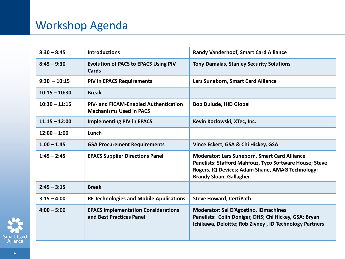# Workshop Agenda

| $8:30 - 8:45$   | <b>Introductions</b>                                                           | <b>Randy Vanderhoof, Smart Card Alliance</b>                                                                                                                                                                 |
|-----------------|--------------------------------------------------------------------------------|--------------------------------------------------------------------------------------------------------------------------------------------------------------------------------------------------------------|
| $8:45 - 9:30$   | <b>Evolution of PACS to EPACS Using PIV</b><br>Cards                           | <b>Tony Damalas, Stanley Security Solutions</b>                                                                                                                                                              |
| $9:30 - 10:15$  | <b>PIV in EPACS Requirements</b>                                               | Lars Suneborn, Smart Card Alliance                                                                                                                                                                           |
| $10:15 - 10:30$ | <b>Break</b>                                                                   |                                                                                                                                                                                                              |
| $10:30 - 11:15$ | <b>PIV- and FICAM-Enabled Authentication</b><br><b>Mechanisms Used in PACS</b> | <b>Bob Dulude, HID Global</b>                                                                                                                                                                                |
| $11:15 - 12:00$ | <b>Implementing PIV in EPACS</b>                                               | Kevin Kozlowski, XTec, Inc.                                                                                                                                                                                  |
| $12:00 - 1:00$  | Lunch                                                                          |                                                                                                                                                                                                              |
| $1:00 - 1:45$   | <b>GSA Procurement Requirements</b>                                            | Vince Eckert, GSA & Chi Hickey, GSA                                                                                                                                                                          |
| $1:45 - 2:45$   | <b>EPACS Supplier Directions Panel</b>                                         | <b>Moderator: Lars Suneborn, Smart Card Alliance</b><br><b>Panelists: Stafford Mahfouz, Tyco Software House; Steve</b><br>Rogers, IQ Devices; Adam Shane, AMAG Technology;<br><b>Brandy Sloan, Gallagher</b> |
| $2:45 - 3:15$   | <b>Break</b>                                                                   |                                                                                                                                                                                                              |
| $3:15 - 4:00$   | <b>RF Technologies and Mobile Applications</b>                                 | <b>Steve Howard, CertiPath</b>                                                                                                                                                                               |
| $4:00 - 5:00$   | <b>EPACS Implementation Considerations</b><br>and Best Practices Panel         | <b>Moderator: Sal D'Agostino, IDmachines</b><br>Panelists: Colin Doniger, DHS; Chi Hickey, GSA; Bryan<br>Ichikawa, Deloitte; Rob Zivney, ID Technology Partners                                              |